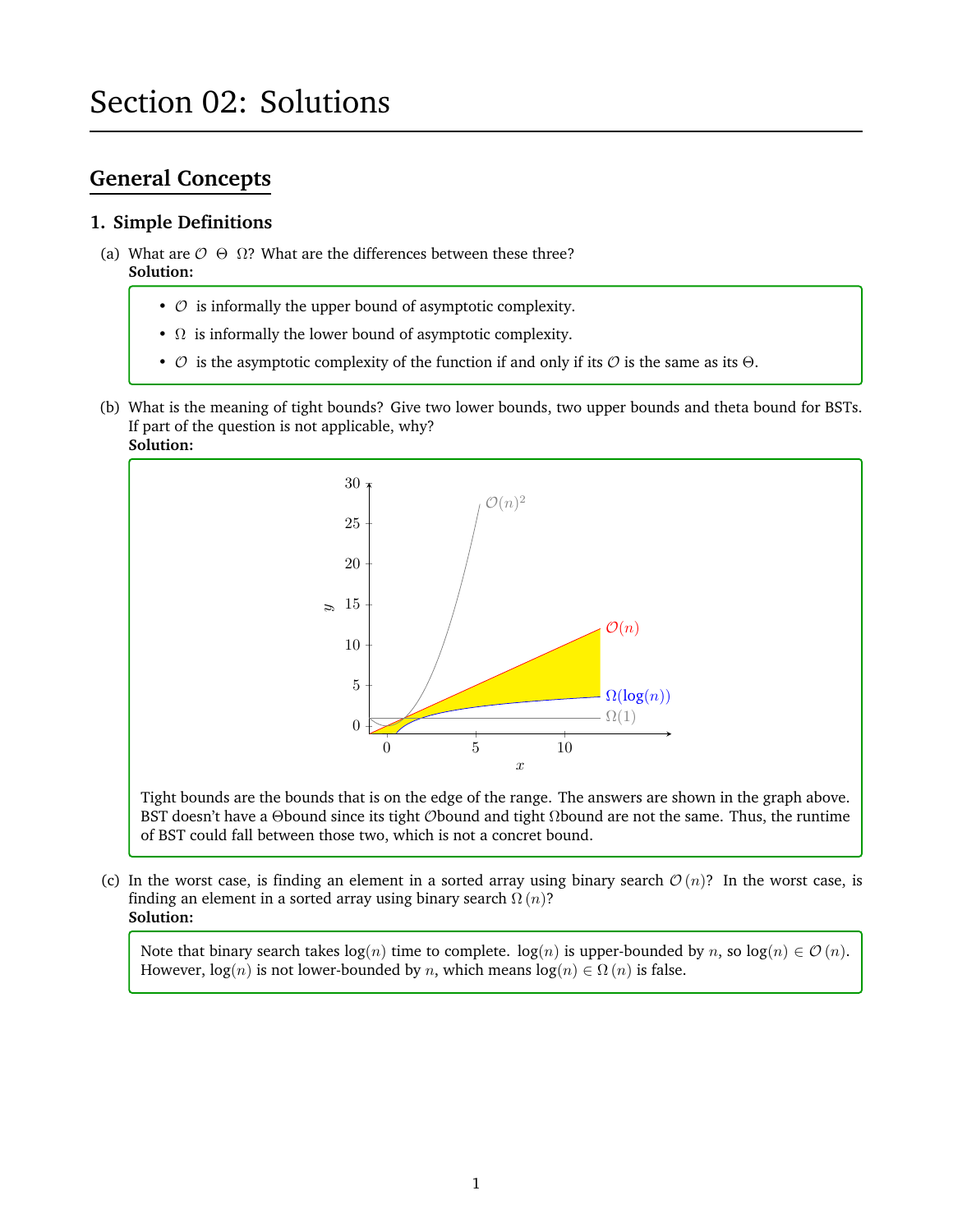# **General Concepts**

# **1. Simple Definitions**

- (a) What are  $\mathcal{O} \Theta \Omega$ ? What are the differences between these three? **Solution:**
	- $\circ$  is informally the upper bound of asymptotic complexity.
	- $\Omega$  is informally the lower bound of asymptotic complexity.
	- $\circ$  is the asymptotic complexity of the function if and only if its  $\circ$  is the same as its  $\Theta$ .
- (b) What is the meaning of tight bounds? Give two lower bounds, two upper bounds and theta bound for BSTs. If part of the question is not applicable, why? **Solution:**



Tight bounds are the bounds that is on the edge of the range. The answers are shown in the graph above. BST doesn't have a Θbound since its tight *O*bound and tight  $\Omega$ bound are not the same. Thus, the runtime of BST could fall between those two, which is not a concret bound.

(c) In the worst case, is finding an element in a sorted array using binary search  $\mathcal{O}(n)$ ? In the worst case, is finding an element in a sorted array using binary search  $\Omega(n)$ ? **Solution:**

Note that binary search takes  $log(n)$  time to complete.  $log(n)$  is upper-bounded by n, so  $log(n) \in \mathcal{O}(n)$ . However,  $log(n)$  is not lower-bounded by n, which means  $log(n) \in \Omega(n)$  is false.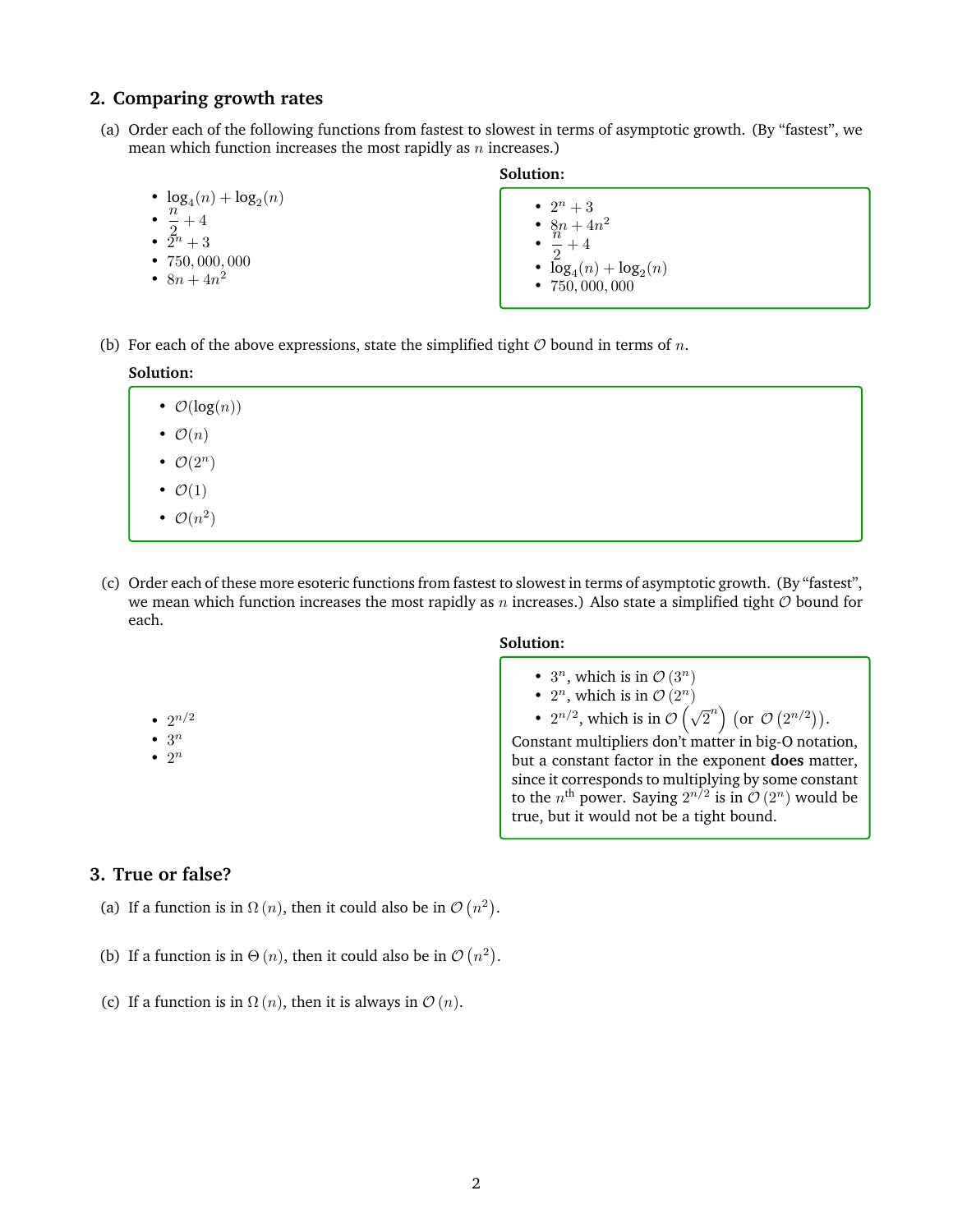# **2. Comparing growth rates**

- (a) Order each of the following functions from fastest to slowest in terms of asymptotic growth. (By "fastest", we mean which function increases the most rapidly as  $n$  increases.)
	- $\log_4(n) + \log_2(n)$
	- $\cdot \frac{n}{2}$  $\frac{1}{2}+4$
	- $\tilde{2}^n + 3$
	- 750, 000, 000
	- $8n + 4n^2$

#### **Solution:**

•  $2^n + 3$ 

•  $8n + 4n^2$ 

- n  $\frac{1}{2}+4$
- $log_4(n) + log_2(n)$
- 750, 000, 000
- (b) For each of the above expressions, state the simplified tight  $\mathcal O$  bound in terms of n.



- $\mathcal{O}(2^n)$
- $\mathcal{O}(1)$
- $\mathcal{O}(n^2)$
- (c) Order each of these more esoteric functions from fastest to slowest in terms of asymptotic growth. (By "fastest", we mean which function increases the most rapidly as n increases.) Also state a simplified tight  $O$  bound for each.

# **Solution:**

- $3^n$ , which is in  $\mathcal{O}(3^n)$
- $2^n$ , which is in  $\mathcal{O}(2^n)$
- $2^{n/2}$ , which is in  $\mathcal{O}(\sqrt{2}^n)$  (or  $\mathcal{O}(2^{n/2})$ ).

Constant multipliers don't matter in big-O notation, but a constant factor in the exponent **does** matter, since it corresponds to multiplying by some constant to the  $n^{\text{th}}$  power. Saying  $2^{n/2}$  is in  $\mathcal{O}(2^n)$  would be true, but it would not be a tight bound.

# •  $2^{n/2}$  $\bullet$  3<sup>n</sup>

 $\bullet$  2<sup>n</sup>

# **3. True or false?**

- (a) If a function is in  $\Omega(n)$ , then it could also be in  $\mathcal{O}(n^2)$ .
- (b) If a function is in  $\Theta(n)$ , then it could also be in  $\mathcal{O}(n^2)$ .
- (c) If a function is in  $\Omega(n)$ , then it is always in  $\mathcal{O}(n)$ .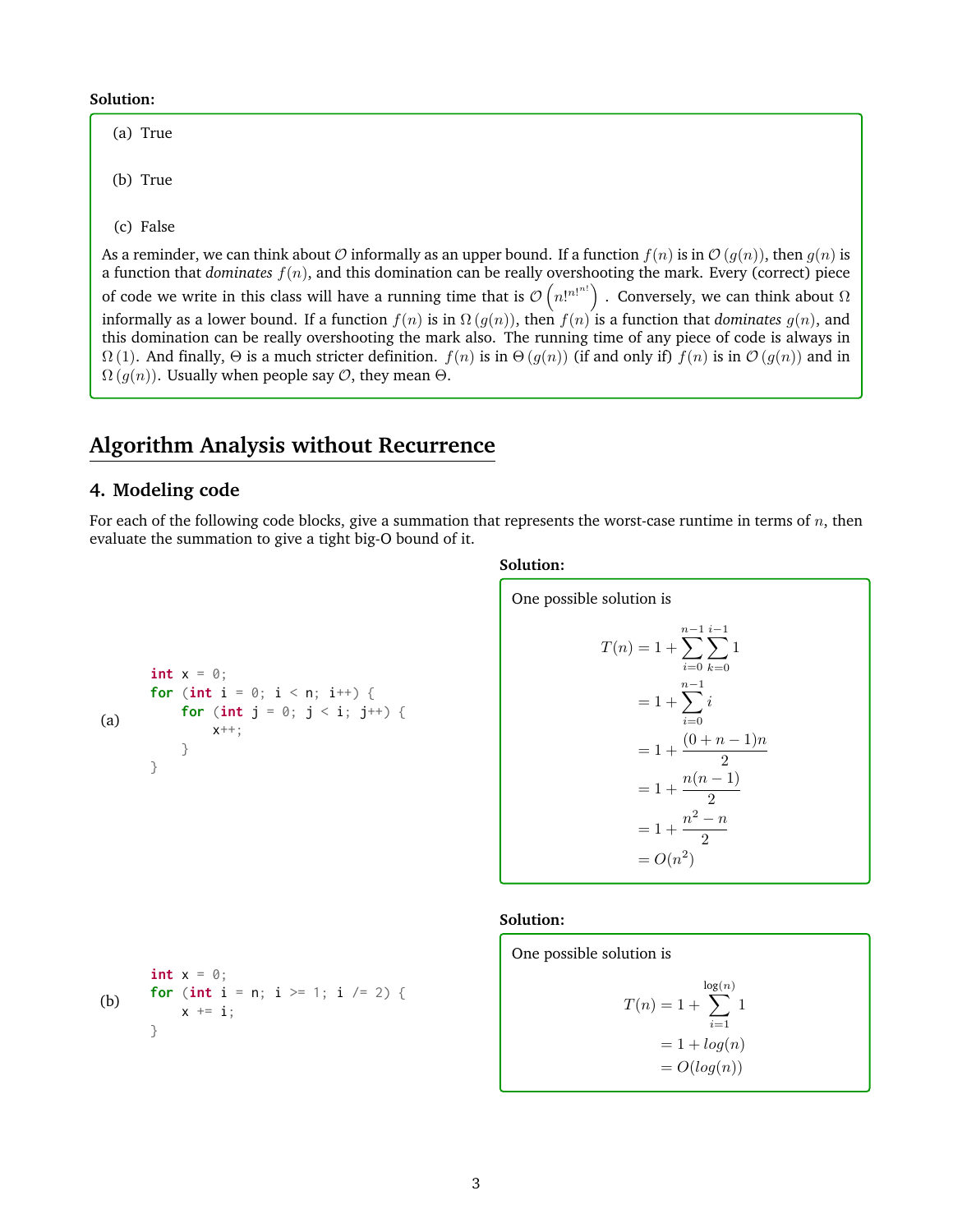**Solution:**

(a) True

(b) True

(c) False

As a reminder, we can think about O informally as an upper bound. If a function  $f(n)$  is in  $\mathcal{O}(g(n))$ , then  $g(n)$  is a function that *dominates* f(n), and this domination can be really overshooting the mark. Every (correct) piece of code we write in this class will have a running time that is  $\mathcal{O}\left(n!^{n!^{n!}}\right)$  . Conversely, we can think about  $\Omega$ informally as a lower bound. If a function  $f(n)$  is in  $\Omega(q(n))$ , then  $f(n)$  is a function that *dominates*  $q(n)$ , and this domination can be really overshooting the mark also. The running time of any piece of code is always in  $\Omega(1)$ . And finally,  $\Theta$  is a much stricter definition.  $f(n)$  is in  $\Theta(g(n))$  (if and only if)  $f(n)$  is in  $\mathcal{O}(g(n))$  and in  $\Omega(g(n))$ . Usually when people say  $\mathcal{O}$ , they mean  $\Theta$ .

# **Algorithm Analysis without Recurrence**

# **4. Modeling code**

**int**  $x = 0$ ;

}

}

(a)

For each of the following code blocks, give a summation that represents the worst-case runtime in terms of  $n$ , then evaluate the summation to give a tight big-O bound of it.

#### **Solution:**

One possible solution is  
\n
$$
T(n) = 1 + \sum_{i=0}^{n-1} \sum_{k=0}^{i-1} 1
$$
\n
$$
= 1 + \sum_{i=0}^{n-1} i
$$
\n
$$
= 1 + \frac{(0+n-1)n}{2}
$$
\n
$$
= 1 + \frac{n(n-1)}{2}
$$
\n
$$
= 1 + \frac{n^2 - n}{2}
$$
\n
$$
= O(n^2)
$$

#### **Solution:**

(b)  $int x = 0$ ; **for** (**int**  $i = n$ ;  $i \ge 1$ ;  $i \ne 2$ ) {  $x \leftarrow^+ = i$ ; }

**for** (**int**  $i = 0$ ;  $i < n$ ;  $i^{++}$ ) {

x++;

**for** (**int**  $j = 0$ ;  $j < i$ ;  $j^{++}$ ) {

One possible solution is  
\n
$$
T(n) = 1 + \sum_{i=1}^{\log(n)} 1
$$
\n
$$
= 1 + log(n)
$$
\n
$$
= O(log(n))
$$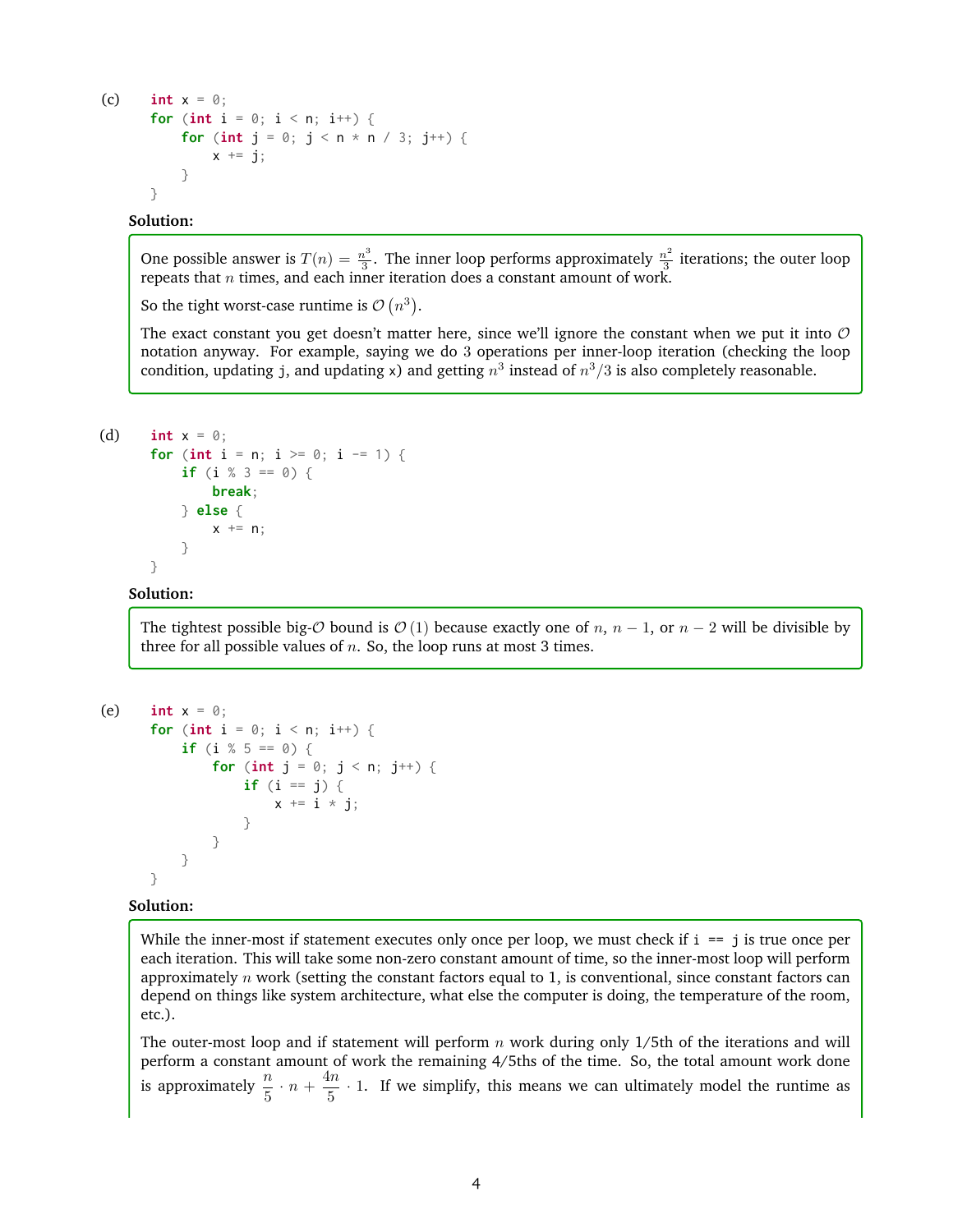```
(c) int x = 0;
       for (int i = 0; i < n; i++) {
            for (int j = 0; j < n * n / 3; j^{++}) {
                 x \leftarrow \exists j;}
       }
```
#### **Solution:**

One possible answer is  $T(n) = \frac{n^3}{3}$  $\frac{n^3}{3}$ . The inner loop performs approximately  $\frac{n^2}{3}$  $\frac{a^2}{3}$  iterations; the outer loop repeats that  $n$  times, and each inner iteration does a constant amount of work.

So the tight worst-case runtime is  $\mathcal{O}(n^3)$ .

The exact constant you get doesn't matter here, since we'll ignore the constant when we put it into  $\mathcal O$ notation anyway. For example, saying we do 3 operations per inner-loop iteration (checking the loop condition, updating j, and updating x) and getting  $n^3$  instead of  $n^3/3$  is also completely reasonable.

```
(d) int x = 0;
       for (int i = n; i \ge 0; i == 1) {
            if (i % 3 == 0) {
                break;
            } else {
                x \leftarrow + = n;
            }
       }
```
## **Solution:**

The tightest possible big- $\mathcal O$  bound is  $\mathcal O$  (1) because exactly one of n, n – 1, or n – 2 will be divisible by three for all possible values of  $n$ . So, the loop runs at most 3 times.

```
(e) int x = 0;
       for (int i = 0; i < n; i^{++}) {
           if (i % 5 == 0) {
                for (int j = 0; j < n; j^{++}) {
                    if (i == j) {
                        x \neq i \times i;
                    }
               }
           }
       }
```
#### **Solution:**

While the inner-most if statement executes only once per loop, we must check if  $i = j$  is true once per each iteration. This will take some non-zero constant amount of time, so the inner-most loop will perform approximately  $n$  work (setting the constant factors equal to 1, is conventional, since constant factors can depend on things like system architecture, what else the computer is doing, the temperature of the room, etc.).

The outer-most loop and if statement will perform  $n$  work during only 1/5th of the iterations and will perform a constant amount of work the remaining 4/5ths of the time. So, the total amount work done is approximately  $\frac{n}{5} \cdot n + \frac{4n}{5}$  $\frac{1}{5}$  · 1. If we simplify, this means we can ultimately model the runtime as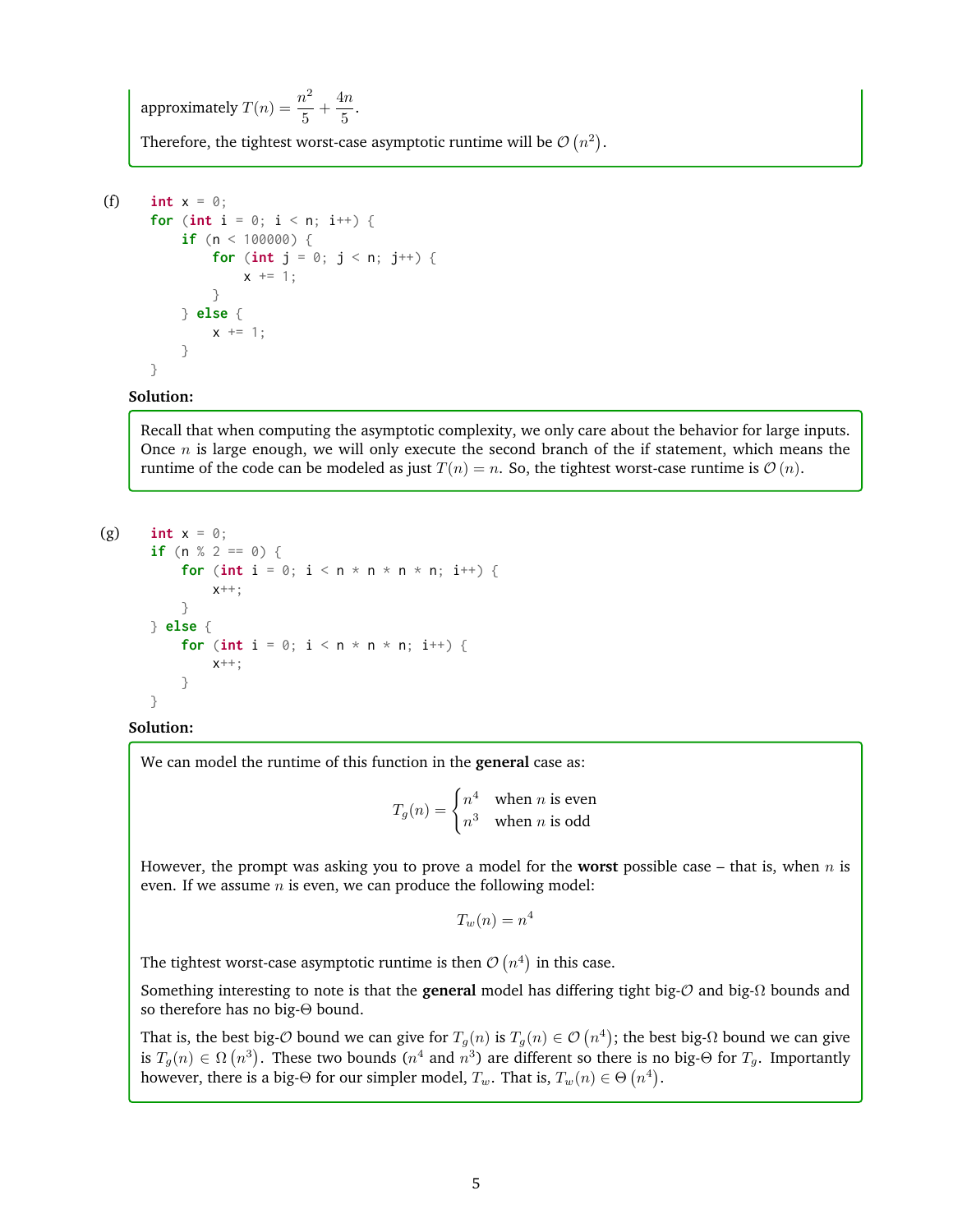approximately  $T(n) = \frac{n^2}{r^2}$  $\frac{n^2}{5} + \frac{4n}{5}$  $\frac{1}{5}$ .

Therefore, the tightest worst-case asymptotic runtime will be  $\mathcal{O}(n^2)$ .

```
(f) int x = 0;
       for (int i = 0; i < n; i++) {
           if (n < 100000) {
                for (int j = 0; j < n; j^{++}) {
                    x \neq 1:
                }
           } else {
                x \leftarrow + = 1;}
       }
```
**Solution:**

Recall that when computing the asymptotic complexity, we only care about the behavior for large inputs. Once  $n$  is large enough, we will only execute the second branch of the if statement, which means the runtime of the code can be modeled as just  $T(n) = n$ . So, the tightest worst-case runtime is  $\mathcal{O}(n)$ .

```
(g) int x = 0;
```

```
if (n % 2 == 0) {
    for (int i = 0; i < n * n * n * n; i++) {
        x++:
    }
} else {
    for (int i = 0; i < n * n * n; i++) {
        x++;
    }
}
```
## **Solution:**

We can model the runtime of this function in the **general** case as:

 $T_g(n) = \begin{cases} n^4 & \text{when } n \text{ is even} \\ 3 & \text{when } n \text{ is odd} \end{cases}$  $n^3$  when *n* is odd

However, the prompt was asking you to prove a model for the **worst** possible case – that is, when n is even. If we assume  $n$  is even, we can produce the following model:

 $T_w(n) = n^4$ 

The tightest worst-case asymptotic runtime is then  $\mathcal{O}(n^4)$  in this case.

Something interesting to note is that the **general** model has differing tight big-O and big-Ω bounds and so therefore has no big-Θ bound.

That is, the best big- $O$  bound we can give for  $T_g(n)$  is  $T_g(n) \in \mathcal{O}$   $(n^4)$ ; the best big- $\Omega$  bound we can give is  $T_g(n)\in\Omega\left(n^3\right).$  These two bounds  $(n^4$  and  $n^3)$  are different so there is no big-Θ for  $T_g.$  Importantly however, there is a big- $\Theta$  for our simpler model,  $T_w.$  That is,  $T_w(n) \in \Theta\left( n^4 \right)$ .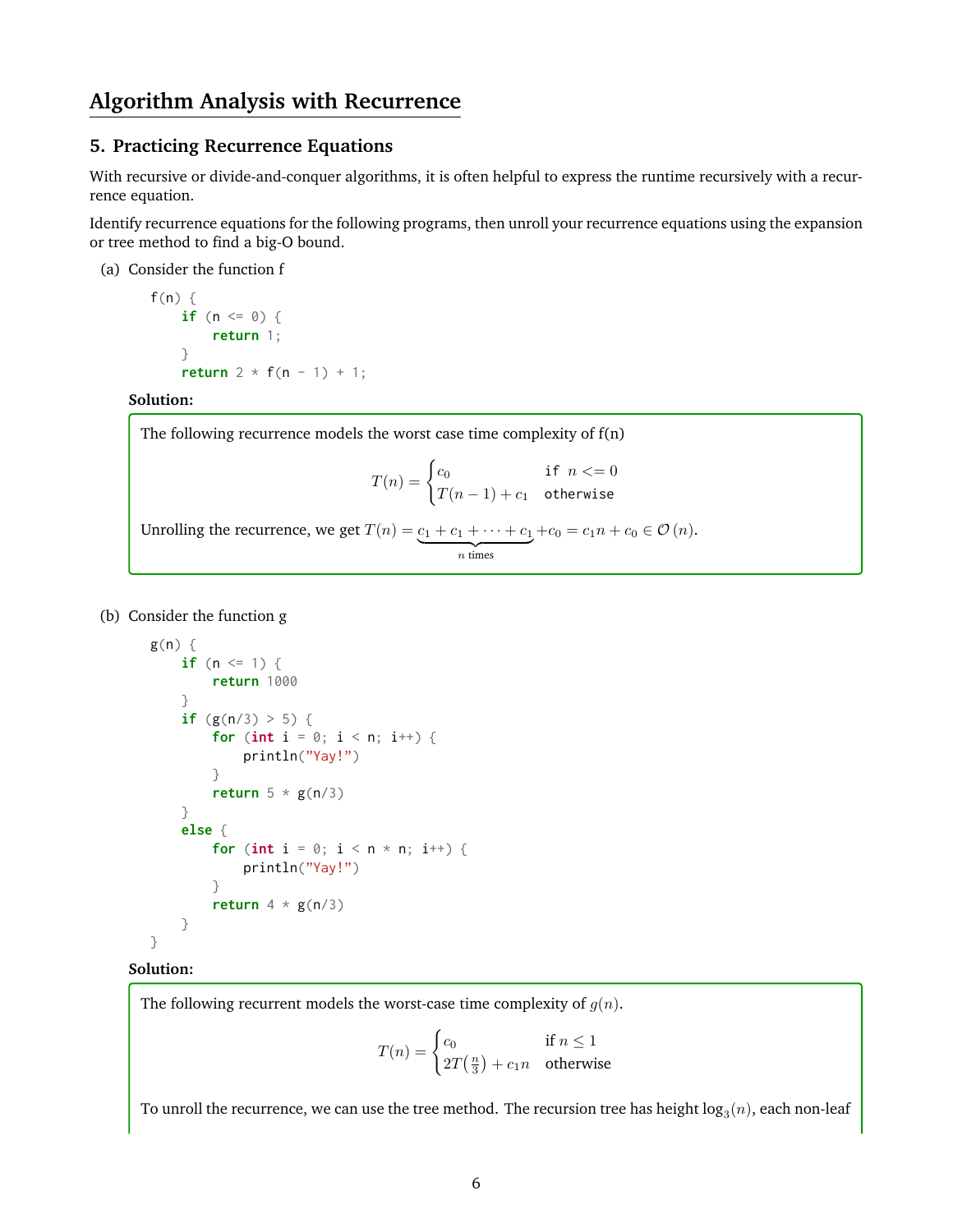# **Algorithm Analysis with Recurrence**

# **5. Practicing Recurrence Equations**

With recursive or divide-and-conquer algorithms, it is often helpful to express the runtime recursively with a recurrence equation.

Identify recurrence equations for the following programs, then unroll your recurrence equations using the expansion or tree method to find a big-O bound.

(a) Consider the function f

```
f(n) {
    if (n <= 0) {
        return 1;
    }
    return 2 * f(n - 1) + 1;
```
**Solution:**

| The following recurrence models the worst case time complexity of $f(n)$                                                              |
|---------------------------------------------------------------------------------------------------------------------------------------|
| $T(n) = \begin{cases} c_0 & \text{if } n < = 0 \\ T(n-1) + c_1 & \text{otherwise} \end{cases}$                                        |
| Unrolling the recurrence, we get $T(n) = \underbrace{c_1 + c_1 + \cdots + c_1}_{\text{max}} + c_0 = c_1 n + c_0 \in \mathcal{O}(n)$ . |

 $\overline{n}$  times

(b) Consider the function g

```
g(n) {
    if (n \leq 1) {
        return 1000
    }
    if (g(n/3) > 5) {
        for (int i = 0; i < n; i^{++}) {
            println("Yay!")
        }
        return 5 * g(n/3)
    }
    else {
        for (int i = 0; i < n * n; i^{++}) {
            println("Yay!")
        }
        return 4 * g(n/3)
    }
}
```
#### **Solution:**

The following recurrent models the worst-case time complexity of  $g(n)$ .

$$
T(n) = \begin{cases} c_0 & \text{if } n \le 1\\ 2T(\frac{n}{3}) + c_1 n & \text{otherwise} \end{cases}
$$

To unroll the recurrence, we can use the tree method. The recursion tree has height  $\log_3(n)$ , each non-leaf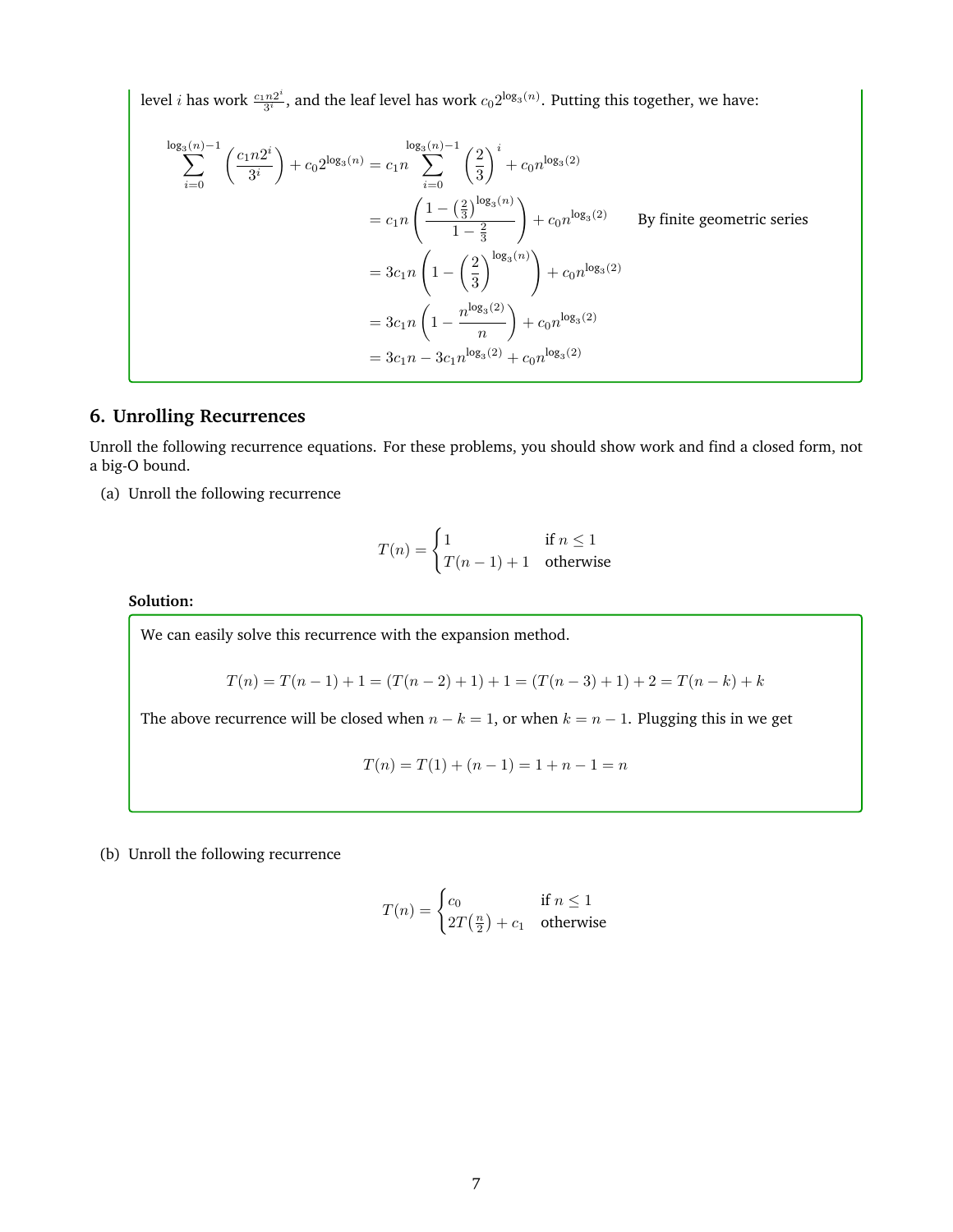level *i* has work  $\frac{c_1 n 2^i}{3^i}$  $\frac{n2^i}{3^i}$ , and the leaf level has work  $c_0 2^{\log_3(n)}$ . Putting this together, we have:

$$
\sum_{i=0}^{\log_3(n)-1} \left(\frac{c_1 n 2^i}{3^i}\right) + c_0 2^{\log_3(n)} = c_1 n \sum_{i=0}^{\log_3(n)-1} \left(\frac{2}{3}\right)^i + c_0 n^{\log_3(2)}
$$
  
\n
$$
= c_1 n \left(\frac{1 - \left(\frac{2}{3}\right)^{\log_3(n)}}{1 - \frac{2}{3}}\right) + c_0 n^{\log_3(2)}
$$
 By finite geometric series  
\n
$$
= 3c_1 n \left(1 - \left(\frac{2}{3}\right)^{\log_3(n)}\right) + c_0 n^{\log_3(2)}
$$
  
\n
$$
= 3c_1 n \left(1 - \frac{n^{\log_3(2)}}{n}\right) + c_0 n^{\log_3(2)}
$$
  
\n
$$
= 3c_1 n - 3c_1 n^{\log_3(2)} + c_0 n^{\log_3(2)}
$$

# **6. Unrolling Recurrences**

Unroll the following recurrence equations. For these problems, you should show work and find a closed form, not a big-O bound.

(a) Unroll the following recurrence

$$
T(n) = \begin{cases} 1 & \text{if } n \le 1 \\ T(n-1) + 1 & \text{otherwise} \end{cases}
$$

**Solution:**

We can easily solve this recurrence with the expansion method.

$$
T(n) = T(n-1) + 1 = (T(n-2) + 1) + 1 = (T(n-3) + 1) + 2 = T(n-k) + k
$$

The above recurrence will be closed when  $n - k = 1$ , or when  $k = n - 1$ . Plugging this in we get

$$
T(n) = T(1) + (n - 1) = 1 + n - 1 = n
$$

(b) Unroll the following recurrence

$$
T(n) = \begin{cases} c_0 & \text{if } n \le 1\\ 2T\left(\frac{n}{2}\right) + c_1 & \text{otherwise} \end{cases}
$$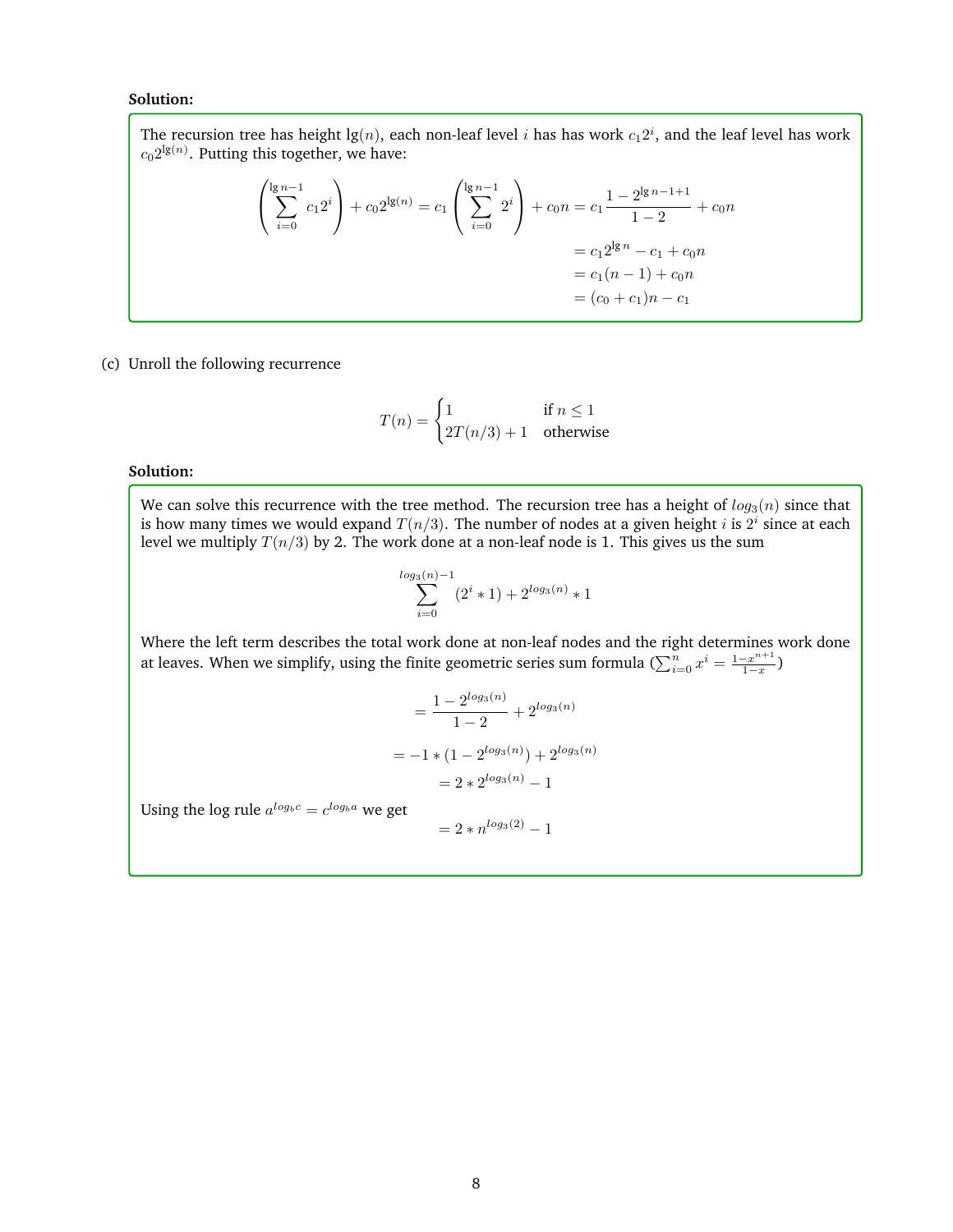#### **Solution:**

The recursion tree has height  $\lg(n)$ , each non-leaf level  $i$  has has work  $c_1 2^i$ , and the leaf level has work  $c_0 2^{\lg(n)}$ . Putting this together, we have:

$$
\left(\sum_{i=0}^{\lg n-1} c_1 2^i\right) + c_0 2^{\lg(n)} = c_1 \left(\sum_{i=0}^{\lg n-1} 2^i\right) + c_0 n = c_1 \frac{1 - 2^{\lg n - 1 + 1}}{1 - 2} + c_0 n
$$

$$
= c_1 2^{\lg n} - c_1 + c_0 n
$$

$$
= c_1 (n - 1) + c_0 n
$$

$$
= (c_0 + c_1) n - c_1
$$

(c) Unroll the following recurrence

$$
T(n) = \begin{cases} 1 & \text{if } n \le 1\\ 2T(n/3) + 1 & \text{otherwise} \end{cases}
$$

# **Solution:**

We can solve this recurrence with the tree method. The recursion tree has a height of  $log_3(n)$  since that is how many times we would expand  $T(n/3)$ . The number of nodes at a given height i is  $2^i$  since at each level we multiply  $T(n/3)$  by 2. The work done at a non-leaf node is 1. This gives us the sum

$$
\sum_{i=0}^{\log_3(n)-1} (2^i * 1) + 2^{\log_3(n)} * 1
$$

Where the left term describes the total work done at non-leaf nodes and the right determines work done at leaves. When we simplify, using the finite geometric series sum formula ( $\sum_{i=0}^n x^i = \frac{1-x^{n+1}}{1-x}$  $\frac{-x^{n+1}}{1-x}$ 

$$
= \frac{1 - 2^{\log_3(n)}}{1 - 2} + 2^{\log_3(n)}
$$

$$
= -1 * (1 - 2^{\log_3(n)}) + 2^{\log_3(n)}
$$

$$
= 2 * 2^{\log_3(n)} - 1
$$

Using the log rule  $a^{log_b c} = c^{log_b a}$  we get

$$
= 2 * n^{\log_3(2)} - 1
$$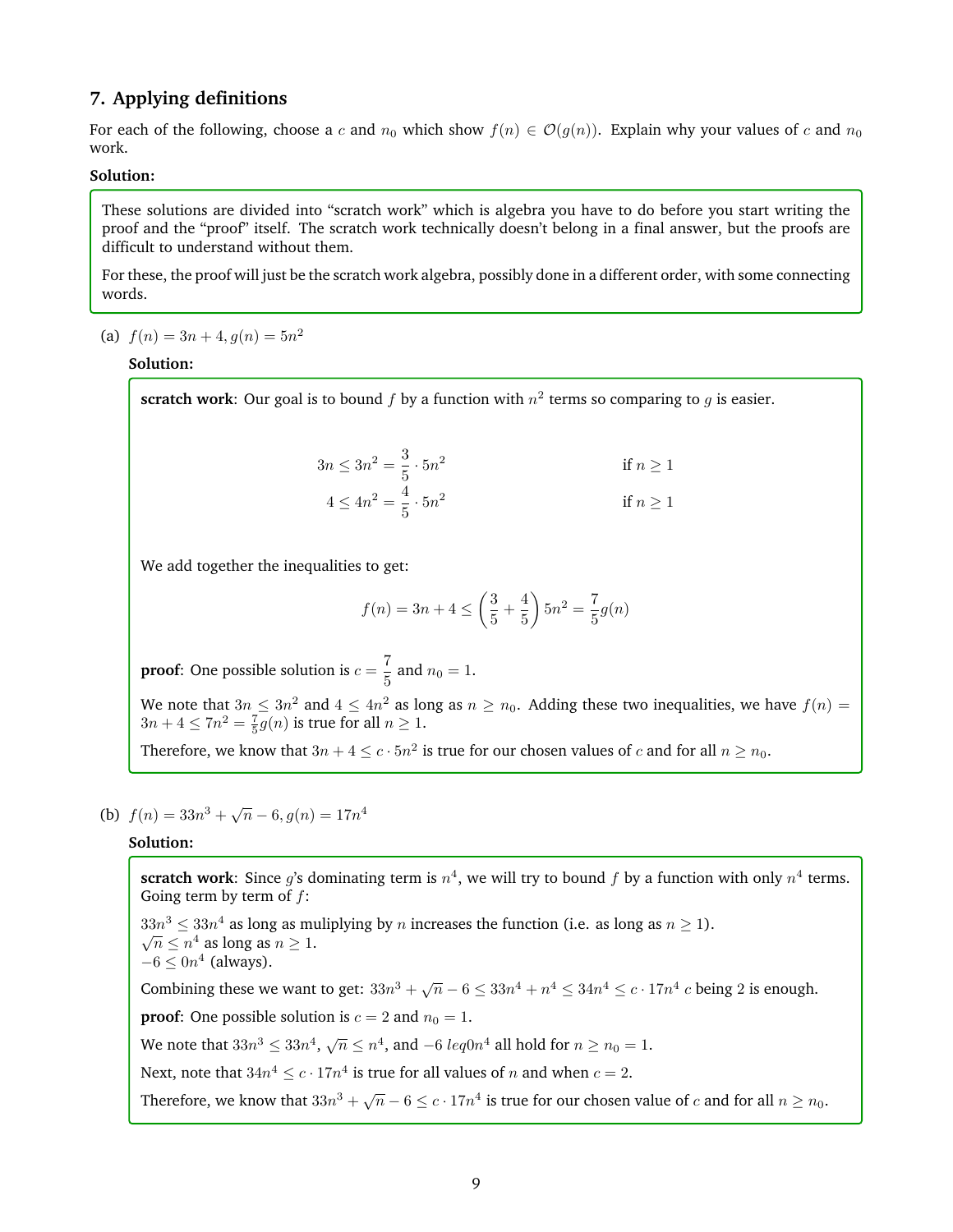# **7. Applying definitions**

For each of the following, choose a c and  $n_0$  which show  $f(n) \in \mathcal{O}(g(n))$ . Explain why your values of c and  $n_0$ work.

## **Solution:**

These solutions are divided into "scratch work" which is algebra you have to do before you start writing the proof and the "proof" itself. The scratch work technically doesn't belong in a final answer, but the proofs are difficult to understand without them.

For these, the proof will just be the scratch work algebra, possibly done in a different order, with some connecting words.

(a)  $f(n) = 3n + 4, g(n) = 5n^2$ 

#### **Solution:**

**scratch work**: Our goal is to bound  $f$  by a function with  $n^2$  terms so comparing to  $g$  is easier.

$$
3n \le 3n^2 = \frac{3}{5} \cdot 5n^2
$$
  
if  $n \ge 1$   

$$
4 \le 4n^2 = \frac{4}{5} \cdot 5n^2
$$
  
if  $n \ge 1$ 

We add together the inequalities to get:

$$
f(n) = 3n + 4 \le \left(\frac{3}{5} + \frac{4}{5}\right) 5n^2 = \frac{7}{5}g(n)
$$

**proof**: One possible solution is  $c = \frac{7}{5}$  $\frac{1}{5}$  and  $n_0 = 1$ .

We note that  $3n \leq 3n^2$  and  $4 \leq 4n^2$  as long as  $n \geq n_0$ . Adding these two inequalities, we have  $f(n) =$  $3n + 4 \leq 7n^2 = \frac{7}{5}g(n)$  is true for all  $n \geq 1$ .

Therefore, we know that  $3n + 4 \le c \cdot 5n^2$  is true for our chosen values of  $c$  and for all  $n \ge n_0$ .

# (b)  $f(n) = 33n^3 + \sqrt{n} - 6, g(n) = 17n^4$

## **Solution:**

**scratch work**: Since g's dominating term is  $n^4$ , we will try to bound f by a function with only  $n^4$  terms. Going term by term of  $f$ :  $33n^3 \leq 33n^4$  as long as muliplying by *n* increases the function (i.e. as long as  $n \geq 1$ ).  $\overline{n} \leq n^4$  as long as  $n \geq 1$ .  $-6 \leq 0n^4$  (always). Combining these we want to get:  $33n^3 + \sqrt{n} - 6 \leq 33n^4 + n^4 \leq 34n^4 \leq c \cdot 17n^4$  c being 2 is enough. **proof:** One possible solution is  $c = 2$  and  $n_0 = 1$ . We note that  $33n^3 \leq 33n^4$ ,  $\sqrt{n} \leq n^4$ , and  $-6 \; leq0n^4$  all hold for  $n \geq n_0 = 1$ . Next, note that  $34n^4 \le c \cdot 17n^4$  is true for all values of n and when  $c = 2$ . Therefore, we know that  $33n^3 + \sqrt{n} - 6 \le c \cdot 17n^4$  is true for our chosen value of  $c$  and for all  $n \ge n_0$ .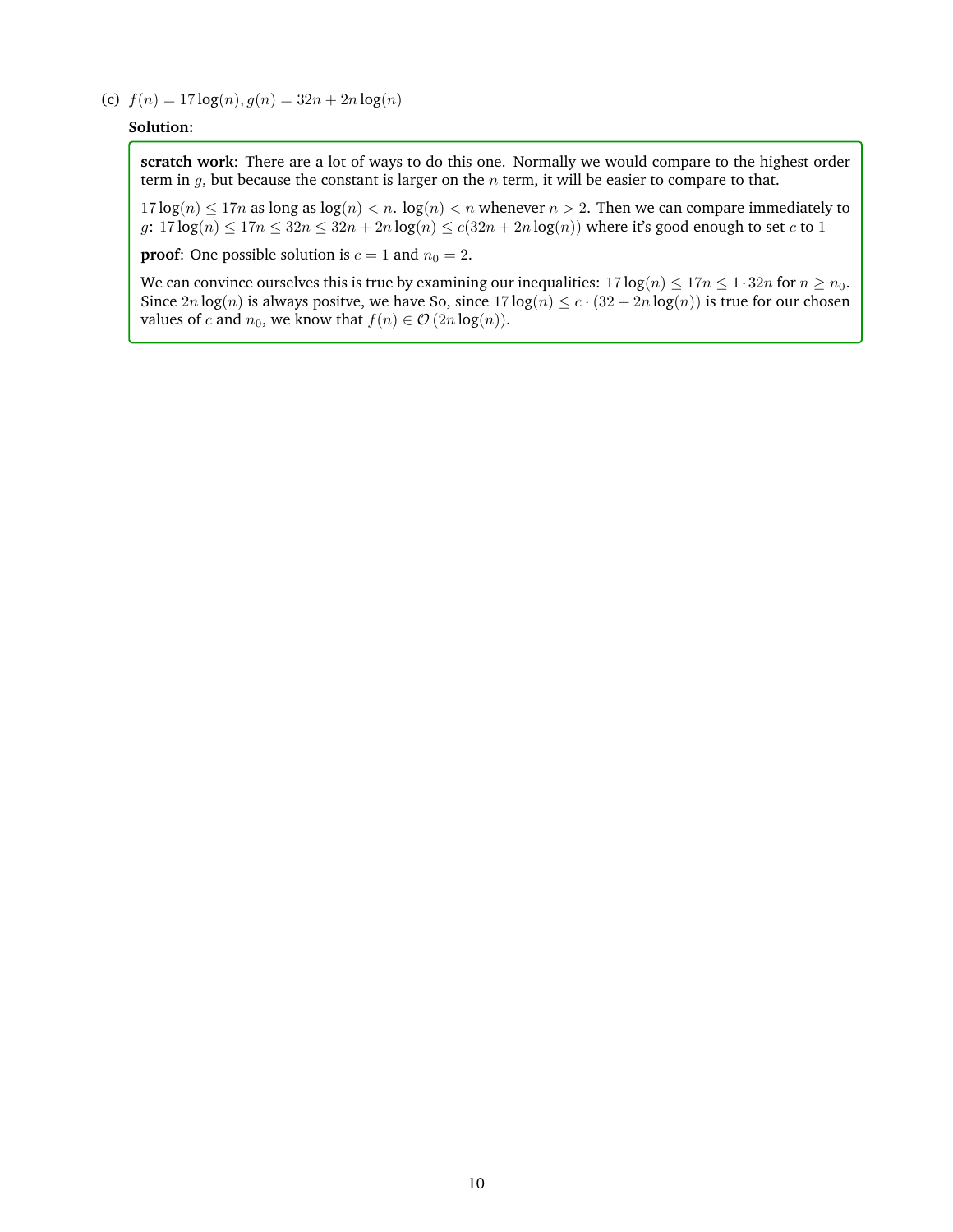(c)  $f(n) = 17 \log(n), g(n) = 32n + 2n \log(n)$ 

## **Solution:**

**scratch work**: There are a lot of ways to do this one. Normally we would compare to the highest order term in  $g$ , but because the constant is larger on the  $n$  term, it will be easier to compare to that.

 $17 \log(n) \le 17n$  as long as  $\log(n) < n$ .  $\log(n) < n$  whenever  $n > 2$ . Then we can compare immediately to g:  $17 \log(n) \leq 17n \leq 32n \leq 32n + 2n \log(n) \leq c(32n + 2n \log(n))$  where it's good enough to set c to 1

**proof:** One possible solution is  $c = 1$  and  $n_0 = 2$ .

We can convince ourselves this is true by examining our inequalities:  $17 \log(n) \le 17n \le 1 \cdot 32n$  for  $n \ge n_0$ . Since  $2n \log(n)$  is always positve, we have So, since  $17 \log(n) \le c \cdot (32 + 2n \log(n))$  is true for our chosen values of *c* and  $n_0$ , we know that  $f(n) \in \mathcal{O}(2n \log(n))$ .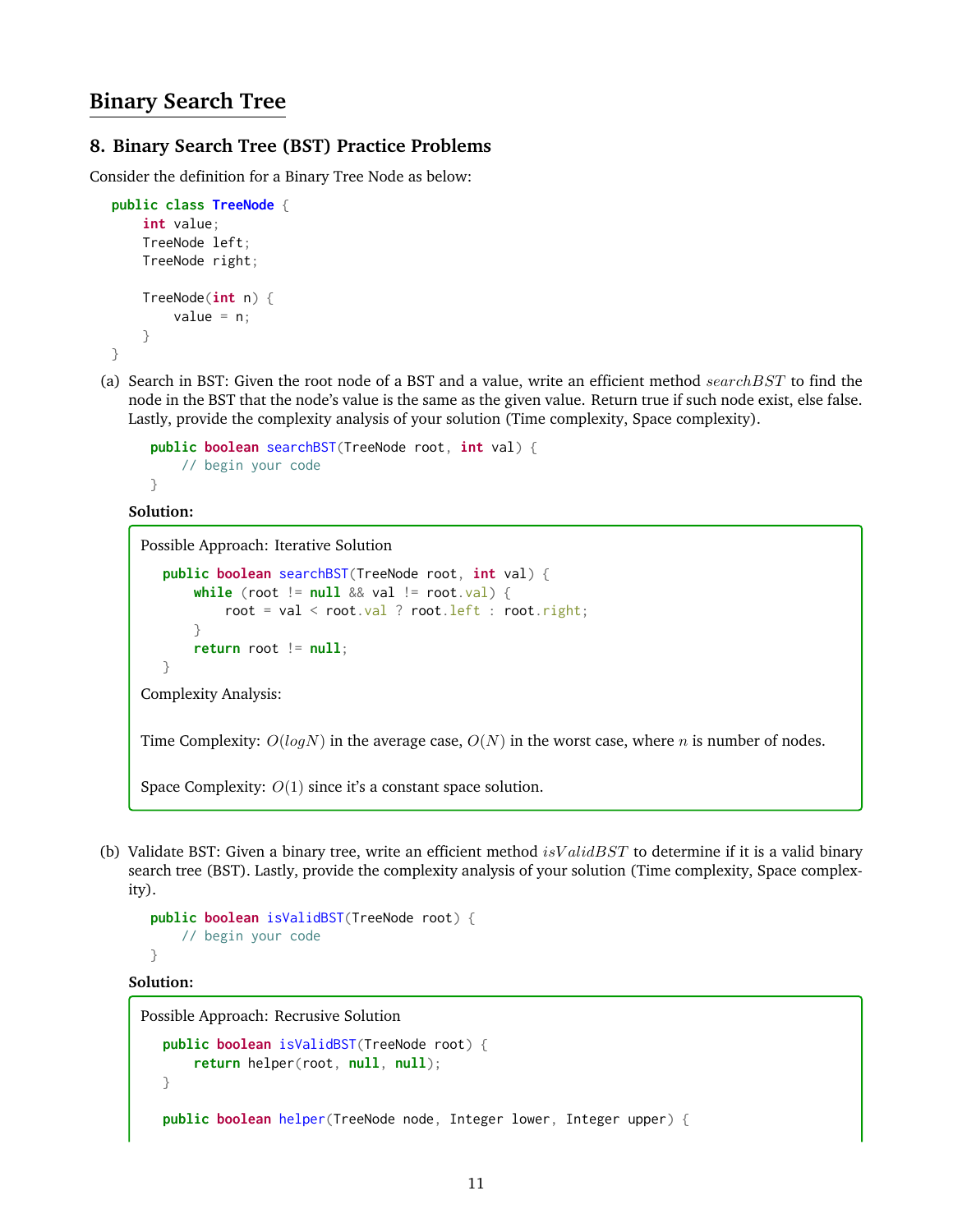# **Binary Search Tree**

# **8. Binary Search Tree (BST) Practice Problems**

Consider the definition for a Binary Tree Node as below:

```
public class TreeNode {
    int value;
    TreeNode left;
    TreeNode right;
   TreeNode(int n) {
        value = n;
    }
}
```
(a) Search in BST: Given the root node of a BST and a value, write an efficient method  $searchBST$  to find the node in the BST that the node's value is the same as the given value. Return true if such node exist, else false. Lastly, provide the complexity analysis of your solution (Time complexity, Space complexity).

```
public boolean searchBST(TreeNode root, int val) {
    // begin your code
}
```
**Solution:**

Possible Approach: Iterative Solution

```
public boolean searchBST(TreeNode root, int val) {
      while (root != null && val != root.val) {
           root = val < root.val ? root.left : root.right;
      }
      return root != null;
  }
Complexity Analysis:
```
Time Complexity:  $O(logN)$  in the average case,  $O(N)$  in the worst case, where *n* is number of nodes.

Space Complexity:  $O(1)$  since it's a constant space solution.

(b) Validate BST: Given a binary tree, write an efficient method  $isValidBST$  to determine if it is a valid binary search tree (BST). Lastly, provide the complexity analysis of your solution (Time complexity, Space complexity).

```
public boolean isValidBST(TreeNode root) {
    // begin your code
}
```
## **Solution:**

```
Possible Approach: Recrusive Solution
   public boolean isValidBST(TreeNode root) {
       return helper(root, null, null);
   }
   public boolean helper(TreeNode node, Integer lower, Integer upper) {
```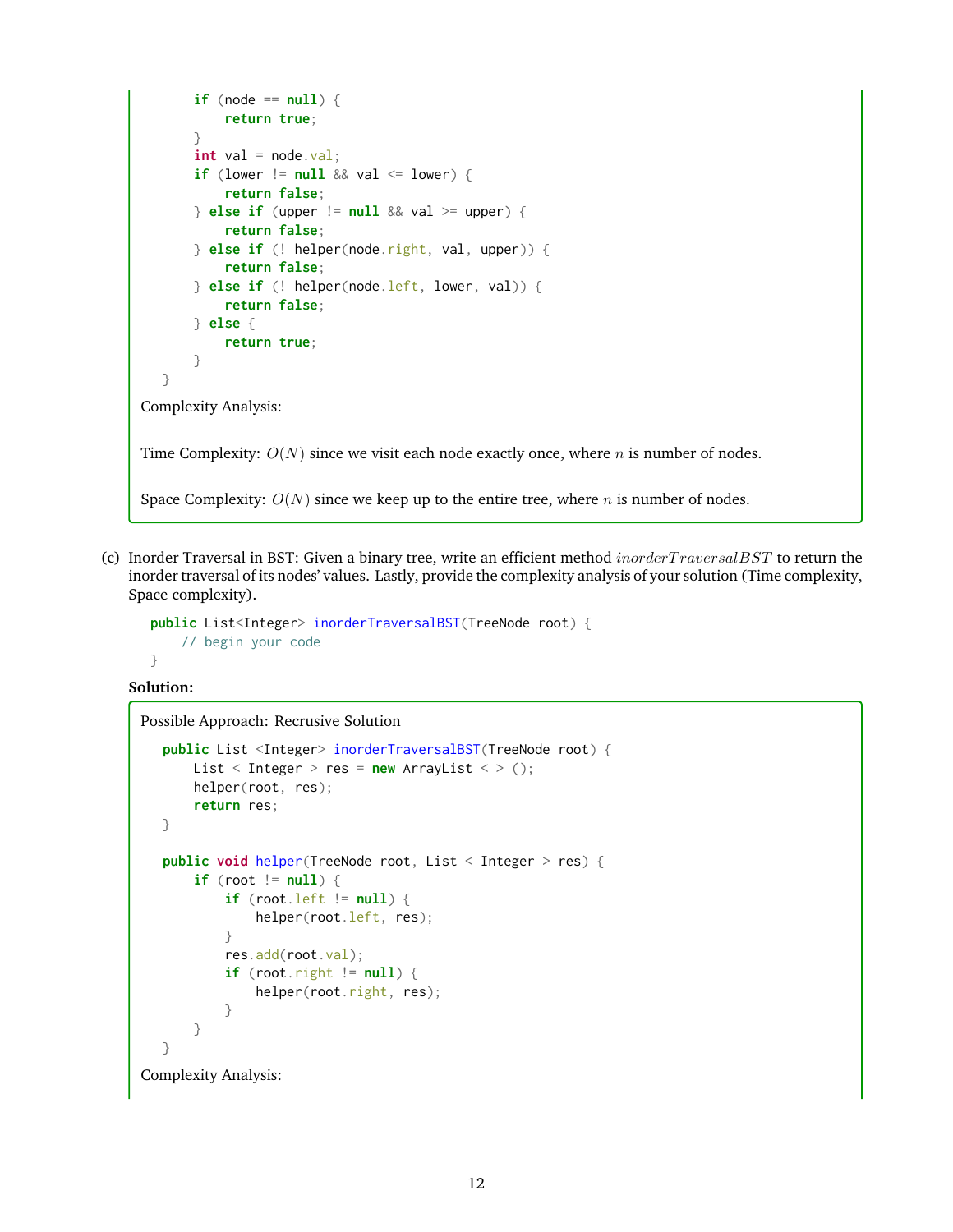```
if (node == null) {
           return true;
       }
       int val = node.val;if (lower != null && val <= lower) {
           return false;
       } else if (upper != null && val >= upper) {
           return false;
       } else if (! helper(node.right, val, upper)) {
           return false;
       } else if (! helper(node.left, lower, val)) {
           return false;
       } else {
           return true;
       }
   }
Complexity Analysis:
Time Complexity: O(N) since we visit each node exactly once, where n is number of nodes.
Space Complexity: O(N) since we keep up to the entire tree, where n is number of nodes.
```
(c) Inorder Traversal in BST: Given a binary tree, write an efficient method *inorderTraversalBST* to return the inorder traversal of its nodes' values. Lastly, provide the complexity analysis of your solution (Time complexity,

```
public List<Integer> inorderTraversalBST(TreeNode root) {
   // begin your code
```
**Solution:**

}

Space complexity).

```
Possible Approach: Recrusive Solution
```

```
public List <Integer> inorderTraversalBST(TreeNode root) {
      List \leq Integer > res = new ArrayList \leq > ();
       helper(root, res);
       return res;
   }
   public void helper(TreeNode root, List < Integer > res) {
       if (root != null) {
           if (root.left != null) {
               helper(root.left, res);
           }
           res.add(root.val);
           if (root.right != null) { }helper(root.right, res);
           }
       }
   }
Complexity Analysis:
```